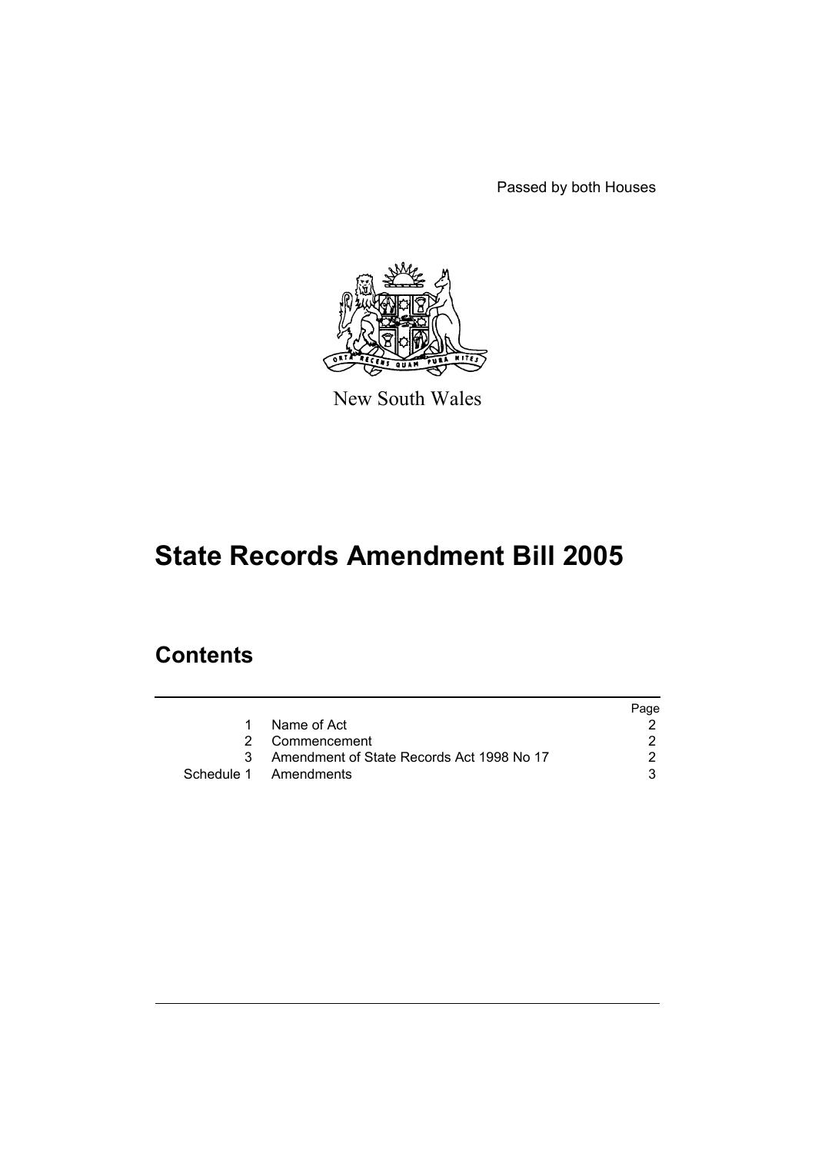Passed by both Houses



New South Wales

# **State Records Amendment Bill 2005**

# **Contents**

|   |                                           | Page |
|---|-------------------------------------------|------|
| 1 | Name of Act                               |      |
|   | 2 Commencement                            |      |
|   | Amendment of State Records Act 1998 No 17 |      |
|   | Schedule 1 Amendments                     |      |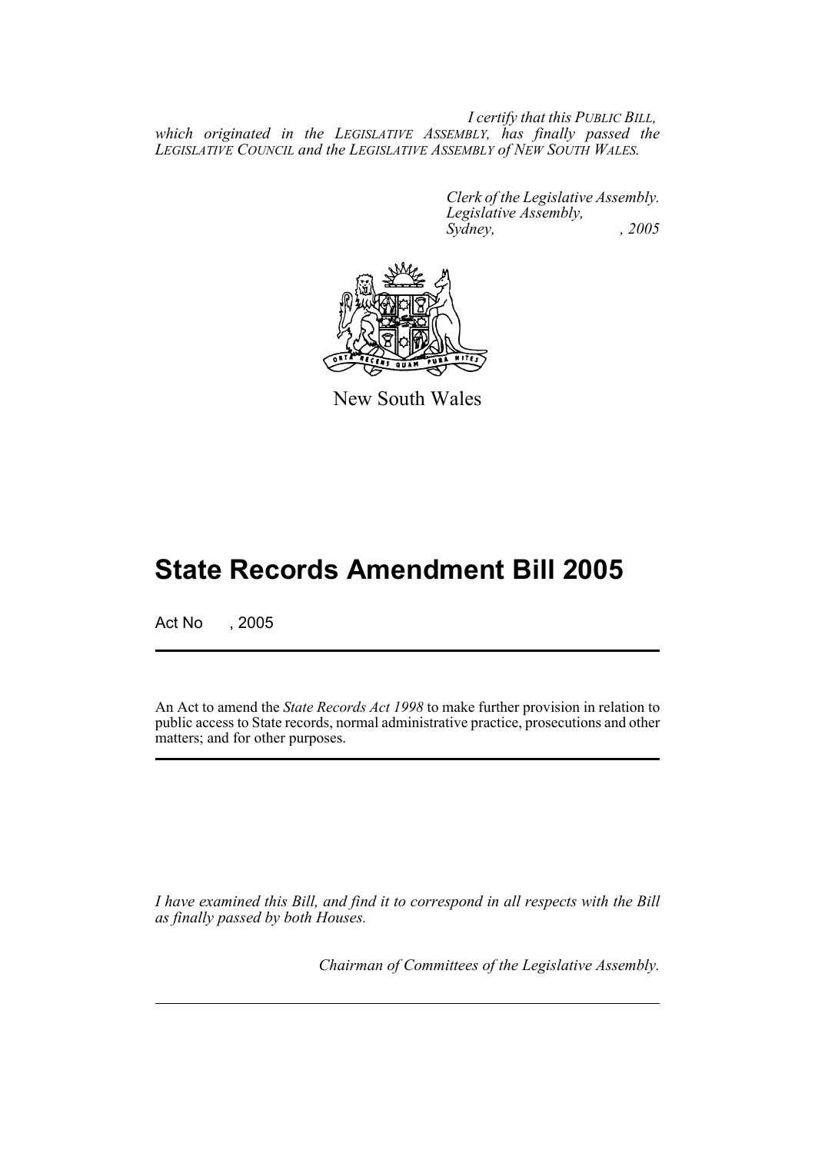*I certify that this PUBLIC BILL, which originated in the LEGISLATIVE ASSEMBLY, has finally passed the LEGISLATIVE COUNCIL and the LEGISLATIVE ASSEMBLY of NEW SOUTH WALES.*

> *Clerk of the Legislative Assembly. Legislative Assembly, Sydney, , 2005*



New South Wales

# **State Records Amendment Bill 2005**

Act No , 2005

An Act to amend the *State Records Act 1998* to make further provision in relation to public access to State records, normal administrative practice, prosecutions and other matters; and for other purposes.

*I have examined this Bill, and find it to correspond in all respects with the Bill as finally passed by both Houses.*

*Chairman of Committees of the Legislative Assembly.*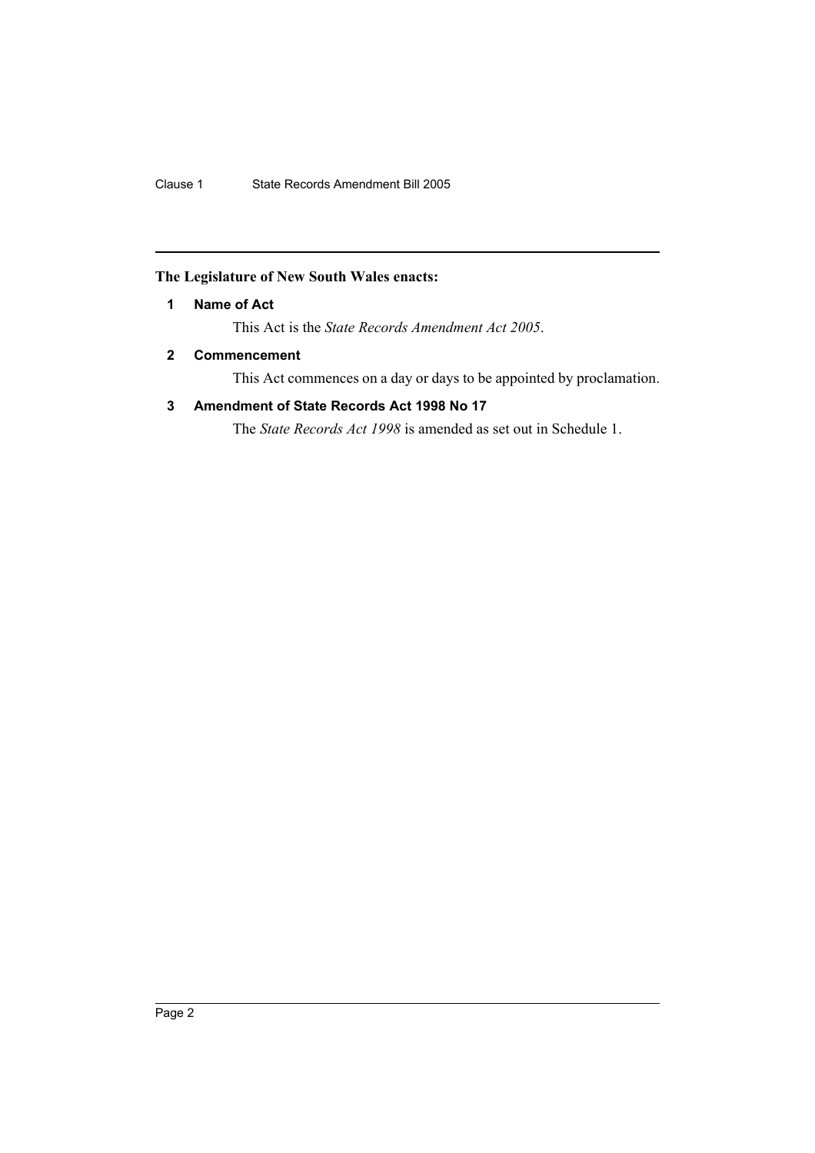## **The Legislature of New South Wales enacts:**

## **1 Name of Act**

This Act is the *State Records Amendment Act 2005*.

## **2 Commencement**

This Act commences on a day or days to be appointed by proclamation.

## **3 Amendment of State Records Act 1998 No 17**

The *State Records Act 1998* is amended as set out in Schedule 1.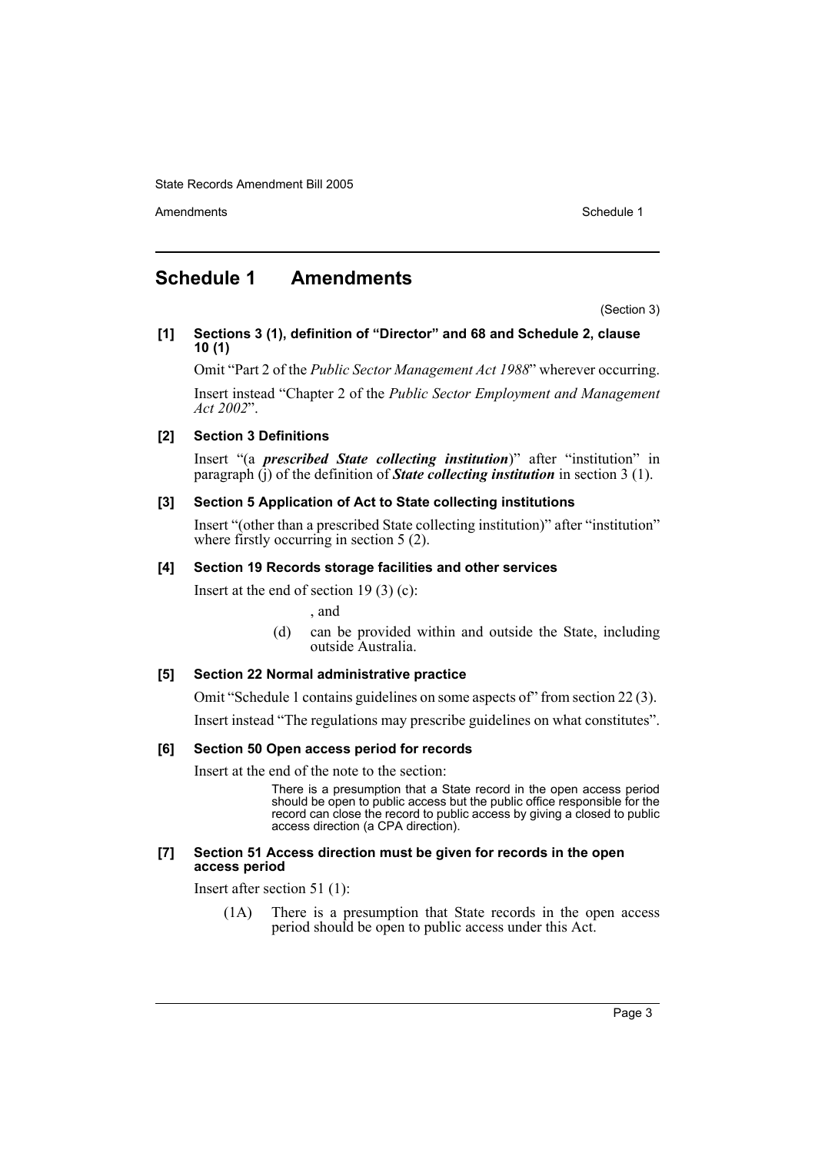Amendments **Schedule 1** and the set of the set of the set of the set of the set of the set of the set of the set of the set of the set of the set of the set of the set of the set of the set of the set of the set of the set

# **Schedule 1 Amendments**

(Section 3)

**[1] Sections 3 (1), definition of "Director" and 68 and Schedule 2, clause 10 (1)**

Omit "Part 2 of the *Public Sector Management Act 1988*" wherever occurring.

Insert instead "Chapter 2 of the *Public Sector Employment and Management Act 2002*".

#### **[2] Section 3 Definitions**

Insert "(a *prescribed State collecting institution*)" after "institution" in paragraph (j) of the definition of *State collecting institution* in section 3 (1).

#### **[3] Section 5 Application of Act to State collecting institutions**

Insert "(other than a prescribed State collecting institution)" after "institution" where firstly occurring in section 5 (2).

#### **[4] Section 19 Records storage facilities and other services**

Insert at the end of section 19 $(3)$  $(c)$ :

, and

(d) can be provided within and outside the State, including outside Australia.

#### **[5] Section 22 Normal administrative practice**

Omit "Schedule 1 contains guidelines on some aspects of" from section 22 (3).

Insert instead "The regulations may prescribe guidelines on what constitutes".

#### **[6] Section 50 Open access period for records**

Insert at the end of the note to the section:

There is a presumption that a State record in the open access period should be open to public access but the public office responsible for the record can close the record to public access by giving a closed to public access direction (a CPA direction).

#### **[7] Section 51 Access direction must be given for records in the open access period**

Insert after section 51 (1):

(1A) There is a presumption that State records in the open access period should be open to public access under this Act.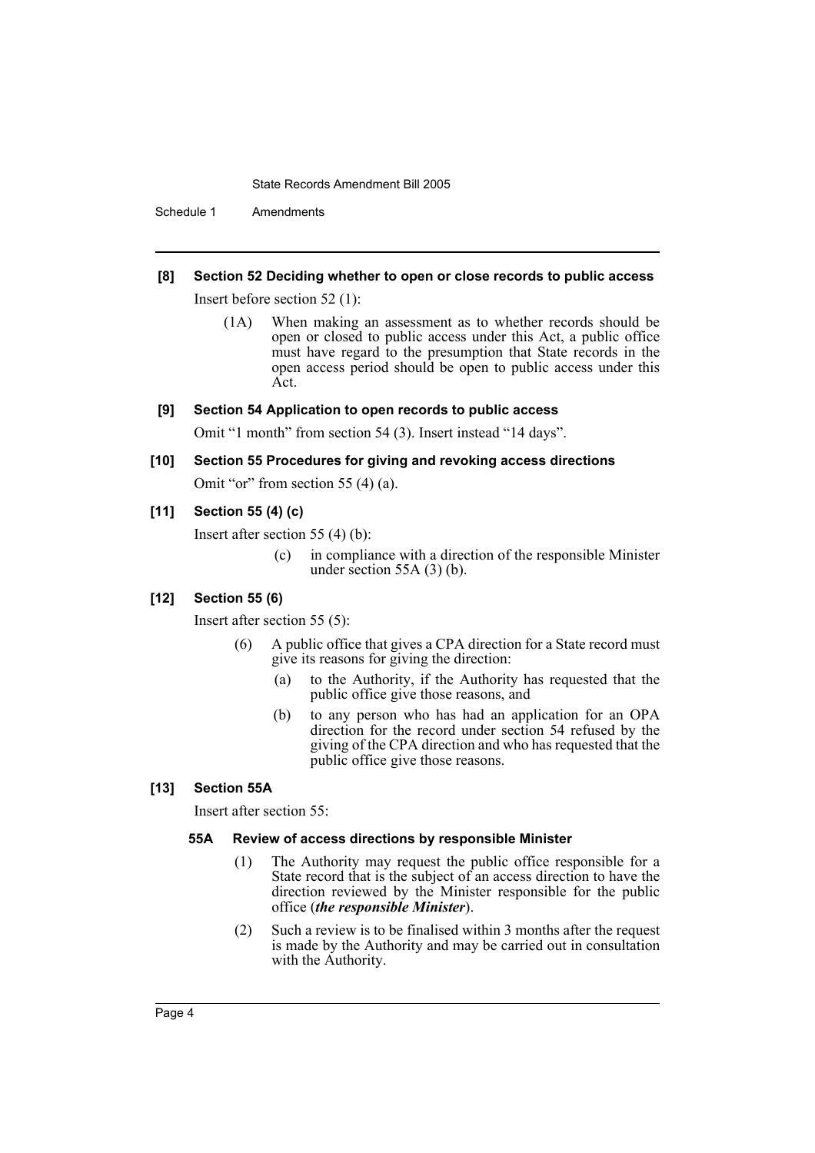Schedule 1 Amendments

## **[8] Section 52 Deciding whether to open or close records to public access**

Insert before section 52 (1):

(1A) When making an assessment as to whether records should be open or closed to public access under this Act, a public office must have regard to the presumption that State records in the open access period should be open to public access under this Act.

#### **[9] Section 54 Application to open records to public access**

Omit "1 month" from section 54 (3). Insert instead "14 days".

# **[10] Section 55 Procedures for giving and revoking access directions**

Omit "or" from section 55 (4) (a).

#### **[11] Section 55 (4) (c)**

Insert after section 55 (4) (b):

(c) in compliance with a direction of the responsible Minister under section 55A (3) (b).

#### **[12] Section 55 (6)**

Insert after section 55 (5):

- (6) A public office that gives a CPA direction for a State record must give its reasons for giving the direction:
	- (a) to the Authority, if the Authority has requested that the public office give those reasons, and
	- (b) to any person who has had an application for an OPA direction for the record under section 54 refused by the giving of the CPA direction and who has requested that the public office give those reasons.

#### **[13] Section 55A**

Insert after section 55:

#### **55A Review of access directions by responsible Minister**

- (1) The Authority may request the public office responsible for a State record that is the subject of an access direction to have the direction reviewed by the Minister responsible for the public office (*the responsible Minister*).
- (2) Such a review is to be finalised within 3 months after the request is made by the Authority and may be carried out in consultation with the Authority.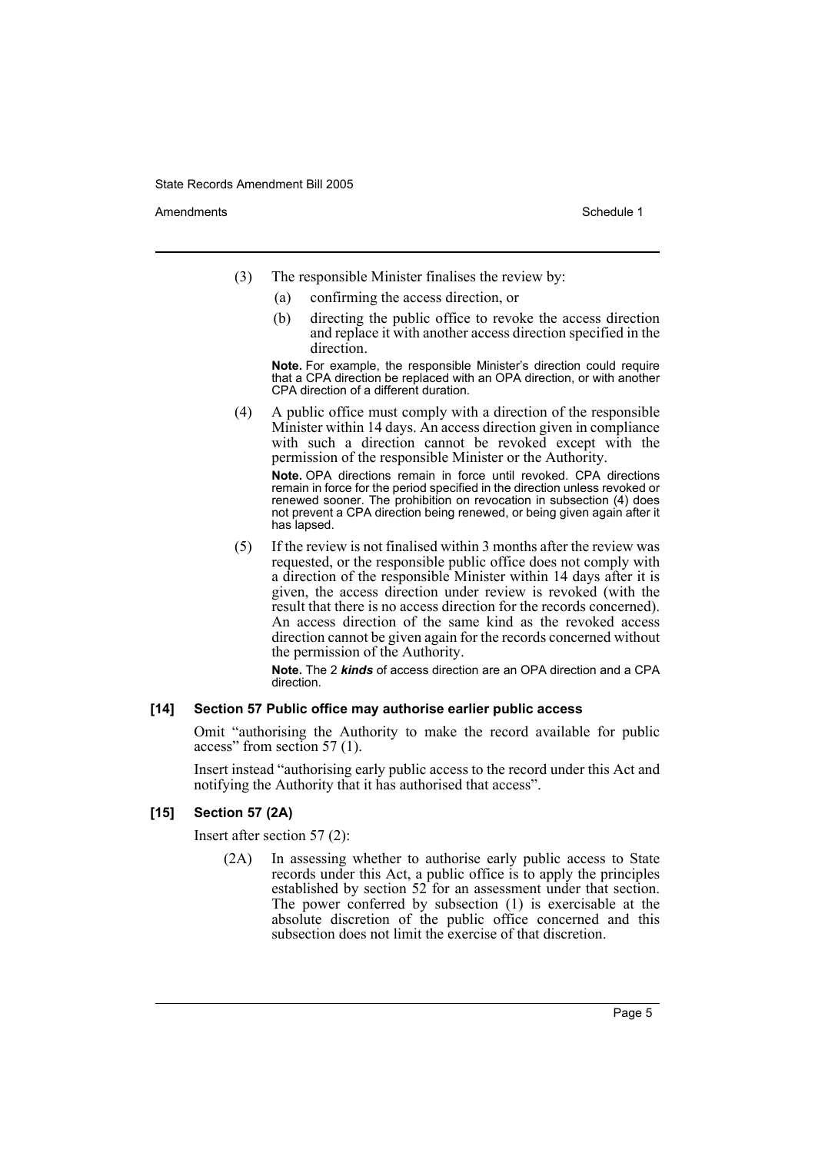Amendments **Schedule 1** and the set of the set of the set of the set of the set of the set of the set of the set of the set of the set of the set of the set of the set of the set of the set of the set of the set of the set

- (3) The responsible Minister finalises the review by:
	- (a) confirming the access direction, or
	- (b) directing the public office to revoke the access direction and replace it with another access direction specified in the direction.

**Note.** For example, the responsible Minister's direction could require that a CPA direction be replaced with an OPA direction, or with another CPA direction of a different duration.

(4) A public office must comply with a direction of the responsible Minister within 14 days. An access direction given in compliance with such a direction cannot be revoked except with the permission of the responsible Minister or the Authority. **Note.** OPA directions remain in force until revoked. CPA directions

remain in force for the period specified in the direction unless revoked or renewed sooner. The prohibition on revocation in subsection (4) does not prevent a CPA direction being renewed, or being given again after it has lapsed.

(5) If the review is not finalised within 3 months after the review was requested, or the responsible public office does not comply with a direction of the responsible Minister within 14 days after it is given, the access direction under review is revoked (with the result that there is no access direction for the records concerned). An access direction of the same kind as the revoked access direction cannot be given again for the records concerned without the permission of the Authority.

**Note.** The 2 *kinds* of access direction are an OPA direction and a CPA direction.

#### **[14] Section 57 Public office may authorise earlier public access**

Omit "authorising the Authority to make the record available for public access" from section 57 (1).

Insert instead "authorising early public access to the record under this Act and notifying the Authority that it has authorised that access".

#### **[15] Section 57 (2A)**

Insert after section 57 (2):

(2A) In assessing whether to authorise early public access to State records under this Act, a public office is to apply the principles established by section 52 for an assessment under that section. The power conferred by subsection (1) is exercisable at the absolute discretion of the public office concerned and this subsection does not limit the exercise of that discretion.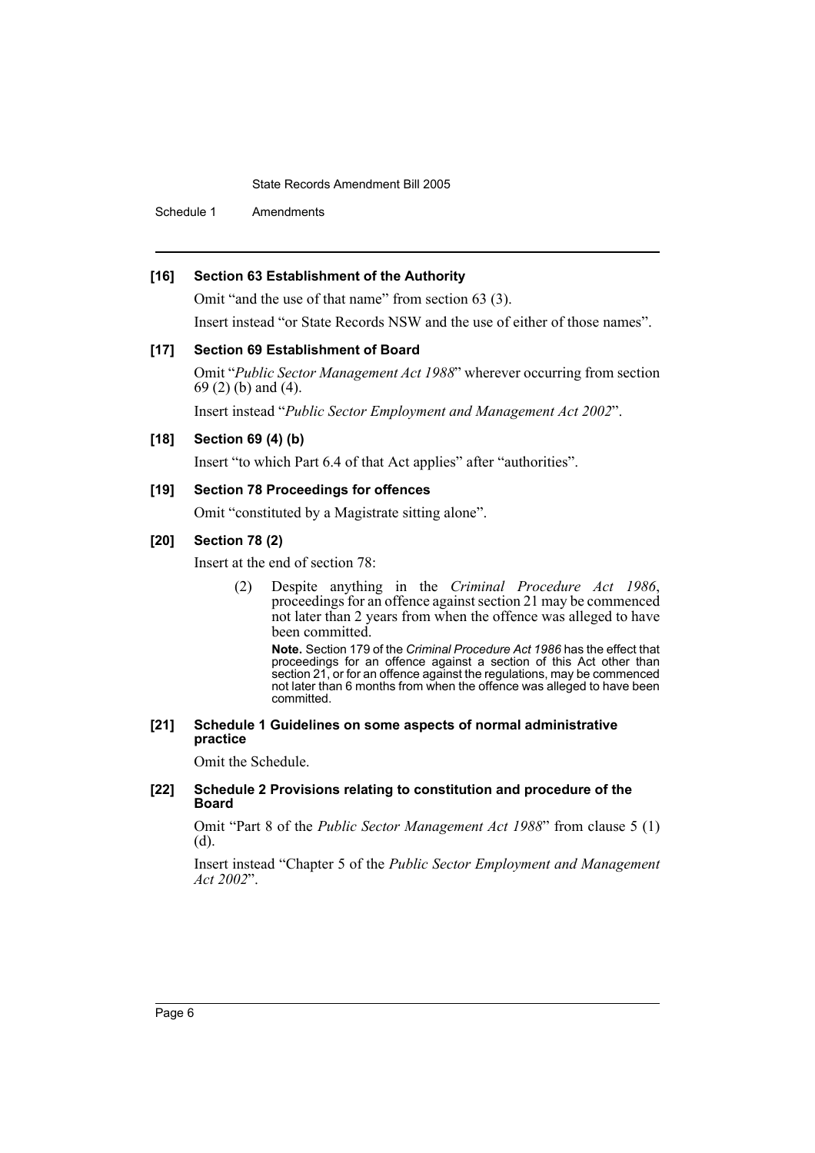Schedule 1 Amendments

## **[16] Section 63 Establishment of the Authority**

Omit "and the use of that name" from section 63 (3).

Insert instead "or State Records NSW and the use of either of those names".

#### **[17] Section 69 Establishment of Board**

Omit "*Public Sector Management Act 1988*" wherever occurring from section 69 (2) (b) and (4).

Insert instead "*Public Sector Employment and Management Act 2002*".

#### **[18] Section 69 (4) (b)**

Insert "to which Part 6.4 of that Act applies" after "authorities".

## **[19] Section 78 Proceedings for offences**

Omit "constituted by a Magistrate sitting alone".

## **[20] Section 78 (2)**

Insert at the end of section 78:

(2) Despite anything in the *Criminal Procedure Act 1986*, proceedings for an offence against section 21 may be commenced not later than 2 years from when the offence was alleged to have been committed.

**Note.** Section 179 of the *Criminal Procedure Act 1986* has the effect that proceedings for an offence against a section of this Act other than section 21, or for an offence against the regulations, may be commenced not later than 6 months from when the offence was alleged to have been committed.

#### **[21] Schedule 1 Guidelines on some aspects of normal administrative practice**

Omit the Schedule.

#### **[22] Schedule 2 Provisions relating to constitution and procedure of the Board**

Omit "Part 8 of the *Public Sector Management Act 1988*" from clause 5 (1) (d).

Insert instead "Chapter 5 of the *Public Sector Employment and Management Act 2002*".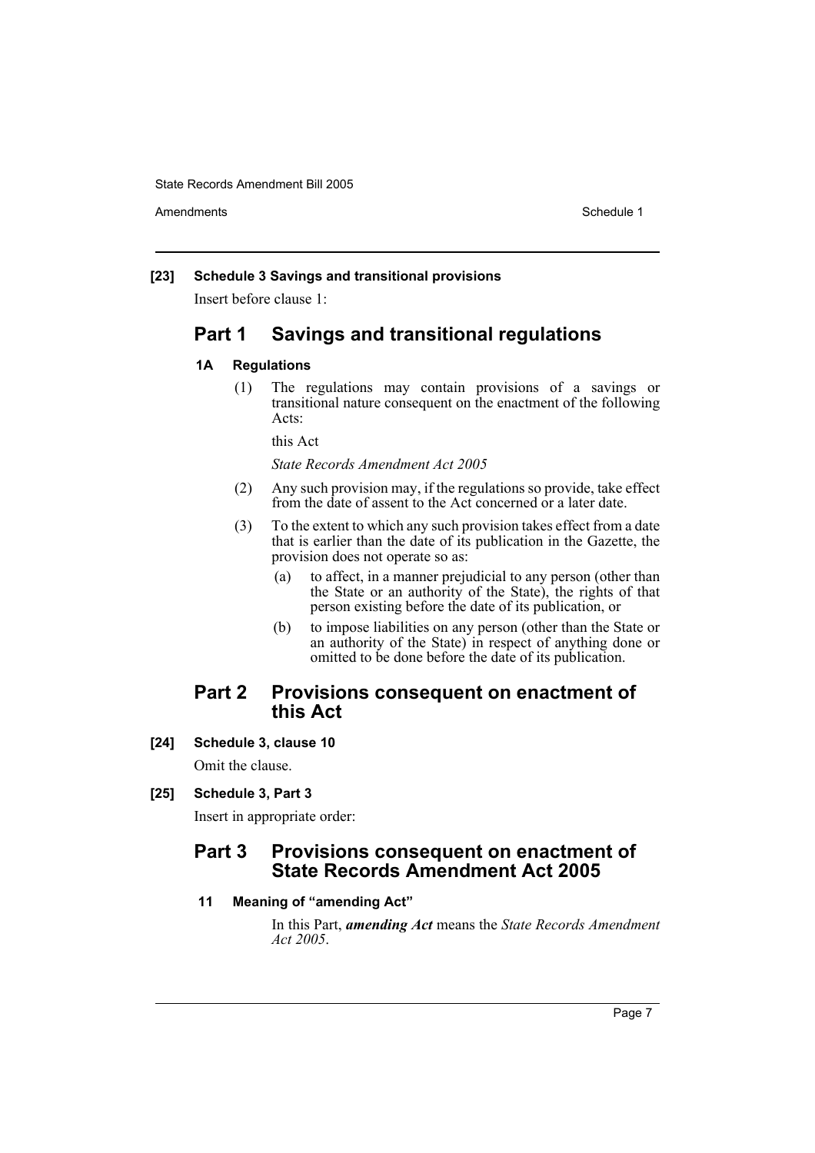Amendments **Schedule 1** and the set of the set of the set of the set of the set of the set of the set of the set of the set of the set of the set of the set of the set of the set of the set of the set of the set of the set

#### **[23] Schedule 3 Savings and transitional provisions**

Insert before clause 1:

# **Part 1 Savings and transitional regulations**

## **1A Regulations**

(1) The regulations may contain provisions of a savings or transitional nature consequent on the enactment of the following Acts:

this Act

*State Records Amendment Act 2005*

- (2) Any such provision may, if the regulations so provide, take effect from the date of assent to the Act concerned or a later date.
- (3) To the extent to which any such provision takes effect from a date that is earlier than the date of its publication in the Gazette, the provision does not operate so as:
	- (a) to affect, in a manner prejudicial to any person (other than the State or an authority of the State), the rights of that person existing before the date of its publication, or
	- (b) to impose liabilities on any person (other than the State or an authority of the State) in respect of anything done or omitted to be done before the date of its publication.

## **Part 2 Provisions consequent on enactment of this Act**

**[24] Schedule 3, clause 10**

Omit the clause.

## **[25] Schedule 3, Part 3**

Insert in appropriate order:

# **Part 3 Provisions consequent on enactment of State Records Amendment Act 2005**

## **11 Meaning of "amending Act"**

In this Part, *amending Act* means the *State Records Amendment Act 2005*.